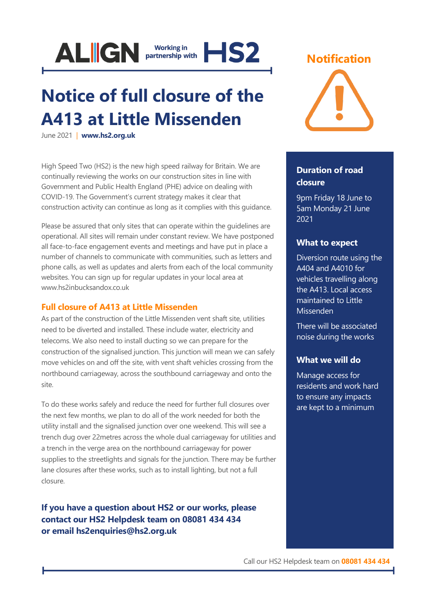

# **Notice of full closure of the A413 at Little Missenden**

June 2021 | **[www.hs2.org.uk](http://www.hs2.org.uk/)**

High Speed Two (HS2) is the new high speed railway for Britain. We are continually reviewing the works on our construction sites in line with Government and Public Health England (PHE) advice on dealing with COVID-19. The Government's current strategy makes it clear that construction activity can continue as long as it complies with this guidance.

Please be assured that only sites that can operate within the guidelines are operational. All sites will remain under constant review. We have postponed all face-to-face engagement events and meetings and have put in place a number of channels to communicate with communities, such as letters and phone calls, as well as updates and alerts from each of the local community websites. You can sign up for regular updates in your local area at www.hs2inbucksandox.co.uk

# **Full closure of A413 at Little Missenden**

As part of the construction of the Little Missenden vent shaft site, utilities need to be diverted and installed. These include water, electricity and telecoms. We also need to install ducting so we can prepare for the construction of the signalised junction. This junction will mean we can safely move vehicles on and off the site, with vent shaft vehicles crossing from the northbound carriageway, across the southbound carriageway and onto the site.

To do these works safely and reduce the need for further full closures over the next few months, we plan to do all of the work needed for both the utility install and the signalised junction over one weekend. This will see a trench dug over 22metres across the whole dual carriageway for utilities and a trench in the verge area on the northbound carriageway for power supplies to the streetlights and signals for the junction. There may be further lane closures after these works, such as to install lighting, but not a full closure.

**If you have a question about HS2 or our works, please contact our HS2 Helpdesk team on 08081 434 434 or email hs2enquiries@hs2.org.uk**





# **Duration of road closure**

9pm Friday 18 June to 5am Monday 21 June 2021

# **What to expect**

Diversion route using the A404 and A4010 for vehicles travelling along the A413. Local access maintained to Little Missenden

There will be associated noise during the works

# **What we will do**

Manage access for residents and work hard to ensure any impacts are kept to a minimum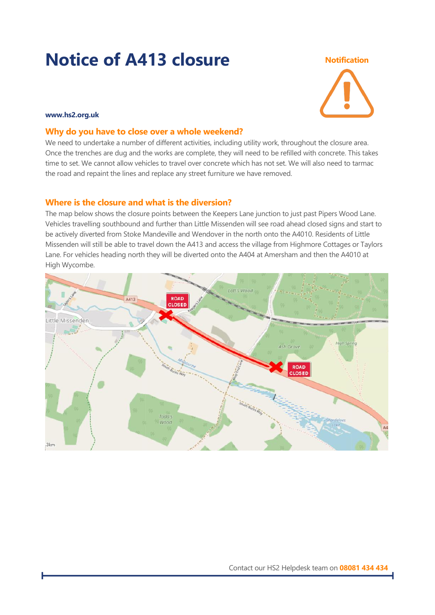# **Notice of A413 closure Notification**



#### **www.hs2.org.uk**

### **Why do you have to close over a whole weekend?**

We need to undertake a number of different activities, including utility work, throughout the closure area. Once the trenches are dug and the works are complete, they will need to be refilled with concrete. This takes time to set. We cannot allow vehicles to travel over concrete which has not set. We will also need to tarmac the road and repaint the lines and replace any street furniture we have removed.

# **Where is the closure and what is the diversion?**

The map below shows the closure points between the Keepers Lane junction to just past Pipers Wood Lane. Vehicles travelling southbound and further than Little Missenden will see road ahead closed signs and start to be actively diverted from Stoke Mandeville and Wendover in the north onto the A4010. Residents of Little Missenden will still be able to travel down the A413 and access the village from Highmore Cottages or Taylors Lane. For vehicles heading north they will be diverted onto the A404 at Amersham and then the A4010 at High Wycombe.

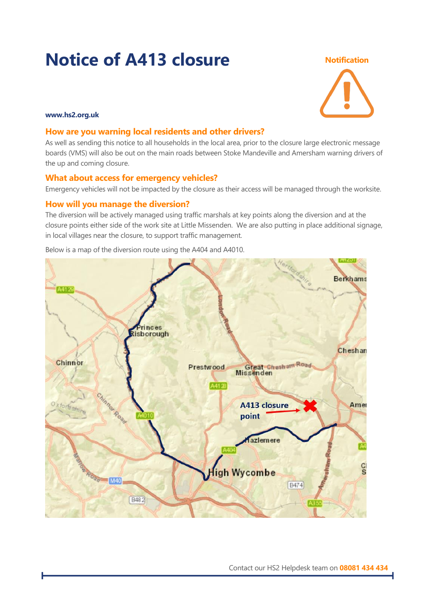# **Notice of A413 closure Notification**



### **www.hs2.org.uk**

# **How are you warning local residents and other drivers?**

As well as sending this notice to all households in the local area, prior to the closure large electronic message boards (VMS) will also be out on the main roads between Stoke Mandeville and Amersham warning drivers of the up and coming closure.

# **What about access for emergency vehicles?**

Emergency vehicles will not be impacted by the closure as their access will be managed through the worksite.

# **How will you manage the diversion?**

The diversion will be actively managed using traffic marshals at key points along the diversion and at the closure points either side of the work site at Little Missenden. We are also putting in place additional signage, in local villages near the closure, to support traffic management.



Below is a map of the diversion route using the A404 and A4010.